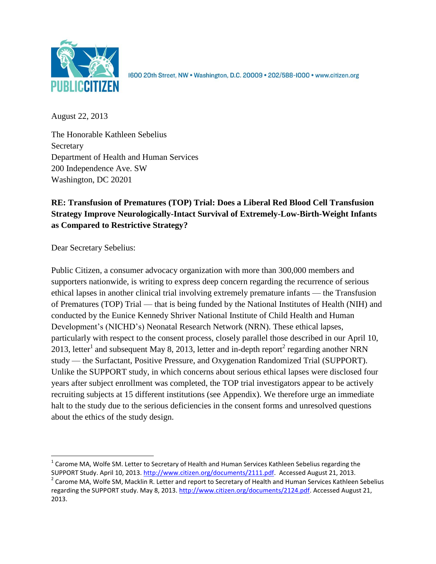

1600 20th Street, NW . Washington, D.C. 20009 . 202/588-1000 . www.citizen.org

August 22, 2013

The Honorable Kathleen Sebelius **Secretary** Department of Health and Human Services 200 Independence Ave. SW Washington, DC 20201

# **RE: Transfusion of Prematures (TOP) Trial: Does a Liberal Red Blood Cell Transfusion Strategy Improve Neurologically-Intact Survival of Extremely-Low-Birth-Weight Infants as Compared to Restrictive Strategy?**

Dear Secretary Sebelius:

 $\overline{\phantom{a}}$ 

Public Citizen, a consumer advocacy organization with more than 300,000 members and supporters nationwide, is writing to express deep concern regarding the recurrence of serious ethical lapses in another clinical trial involving extremely premature infants — the Transfusion of Prematures (TOP) Trial — that is being funded by the National Institutes of Health (NIH) and conducted by the Eunice Kennedy Shriver National Institute of Child Health and Human Development's (NICHD's) Neonatal Research Network (NRN). These ethical lapses, particularly with respect to the consent process, closely parallel those described in our April 10, 2013, letter<sup>1</sup> and subsequent May 8, 2013, letter and in-depth report<sup>2</sup> regarding another NRN study — the Surfactant, Positive Pressure, and Oxygenation Randomized Trial (SUPPORT). Unlike the SUPPORT study, in which concerns about serious ethical lapses were disclosed four years after subject enrollment was completed, the TOP trial investigators appear to be actively recruiting subjects at 15 different institutions (see Appendix). We therefore urge an immediate halt to the study due to the serious deficiencies in the consent forms and unresolved questions about the ethics of the study design.

 $^{1}$  Carome MA, Wolfe SM. Letter to Secretary of Health and Human Services Kathleen Sebelius regarding the SUPPORT Study. April 10, 2013[. http://www.citizen.org/documents/2111.pdf.](http://www.citizen.org/documents/2111.pdf) Accessed August 21, 2013.

<sup>&</sup>lt;sup>2</sup> Carome MA, Wolfe SM, Macklin R. Letter and report to Secretary of Health and Human Services Kathleen Sebelius regarding the SUPPORT study. May 8, 2013[. http://www.citizen.org/documents/2124.pdf.](http://www.citizen.org/documents/2124.pdf) Accessed August 21, 2013.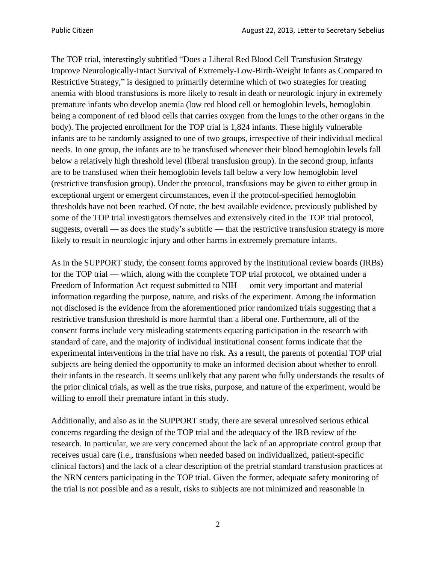The TOP trial, interestingly subtitled "Does a Liberal Red Blood Cell Transfusion Strategy Improve Neurologically-Intact Survival of Extremely-Low-Birth-Weight Infants as Compared to Restrictive Strategy," is designed to primarily determine which of two strategies for treating anemia with blood transfusions is more likely to result in death or neurologic injury in extremely premature infants who develop anemia (low red blood cell or hemoglobin levels, hemoglobin being a component of red blood cells that carries oxygen from the lungs to the other organs in the body). The projected enrollment for the TOP trial is 1,824 infants. These highly vulnerable infants are to be randomly assigned to one of two groups, irrespective of their individual medical needs. In one group, the infants are to be transfused whenever their blood hemoglobin levels fall below a relatively high threshold level (liberal transfusion group). In the second group, infants are to be transfused when their hemoglobin levels fall below a very low hemoglobin level (restrictive transfusion group). Under the protocol, transfusions may be given to either group in exceptional urgent or emergent circumstances, even if the protocol-specified hemoglobin thresholds have not been reached. Of note, the best available evidence, previously published by some of the TOP trial investigators themselves and extensively cited in the TOP trial protocol, suggests, overall — as does the study's subtitle — that the restrictive transfusion strategy is more likely to result in neurologic injury and other harms in extremely premature infants.

As in the SUPPORT study, the consent forms approved by the institutional review boards (IRBs) for the TOP trial — which, along with the complete TOP trial protocol, we obtained under a Freedom of Information Act request submitted to NIH — omit very important and material information regarding the purpose, nature, and risks of the experiment. Among the information not disclosed is the evidence from the aforementioned prior randomized trials suggesting that a restrictive transfusion threshold is more harmful than a liberal one. Furthermore, all of the consent forms include very misleading statements equating participation in the research with standard of care, and the majority of individual institutional consent forms indicate that the experimental interventions in the trial have no risk. As a result, the parents of potential TOP trial subjects are being denied the opportunity to make an informed decision about whether to enroll their infants in the research. It seems unlikely that any parent who fully understands the results of the prior clinical trials, as well as the true risks, purpose, and nature of the experiment, would be willing to enroll their premature infant in this study.

Additionally, and also as in the SUPPORT study, there are several unresolved serious ethical concerns regarding the design of the TOP trial and the adequacy of the IRB review of the research. In particular, we are very concerned about the lack of an appropriate control group that receives usual care (i.e., transfusions when needed based on individualized, patient-specific clinical factors) and the lack of a clear description of the pretrial standard transfusion practices at the NRN centers participating in the TOP trial. Given the former, adequate safety monitoring of the trial is not possible and as a result, risks to subjects are not minimized and reasonable in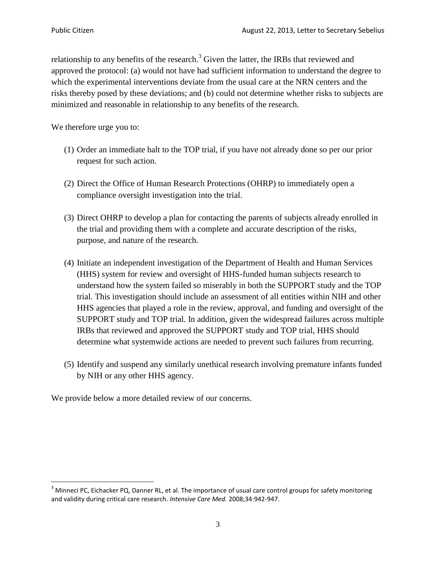$\overline{\phantom{a}}$ 

relationship to any benefits of the research.<sup>3</sup> Given the latter, the IRBs that reviewed and approved the protocol: (a) would not have had sufficient information to understand the degree to which the experimental interventions deviate from the usual care at the NRN centers and the risks thereby posed by these deviations; and (b) could not determine whether risks to subjects are minimized and reasonable in relationship to any benefits of the research.

We therefore urge you to:

- (1) Order an immediate halt to the TOP trial, if you have not already done so per our prior request for such action.
- (2) Direct the Office of Human Research Protections (OHRP) to immediately open a compliance oversight investigation into the trial.
- (3) Direct OHRP to develop a plan for contacting the parents of subjects already enrolled in the trial and providing them with a complete and accurate description of the risks, purpose, and nature of the research.
- (4) Initiate an independent investigation of the Department of Health and Human Services (HHS) system for review and oversight of HHS-funded human subjects research to understand how the system failed so miserably in both the SUPPORT study and the TOP trial. This investigation should include an assessment of all entities within NIH and other HHS agencies that played a role in the review, approval, and funding and oversight of the SUPPORT study and TOP trial. In addition, given the widespread failures across multiple IRBs that reviewed and approved the SUPPORT study and TOP trial, HHS should determine what systemwide actions are needed to prevent such failures from recurring.
- (5) Identify and suspend any similarly unethical research involving premature infants funded by NIH or any other HHS agency.

We provide below a more detailed review of our concerns.

 $3$  Minneci PC, Eichacker PQ, Danner RL, et al. The importance of usual care control groups for safety monitoring and validity during critical care research. *Intensive Care Med.* 2008;34:942-947.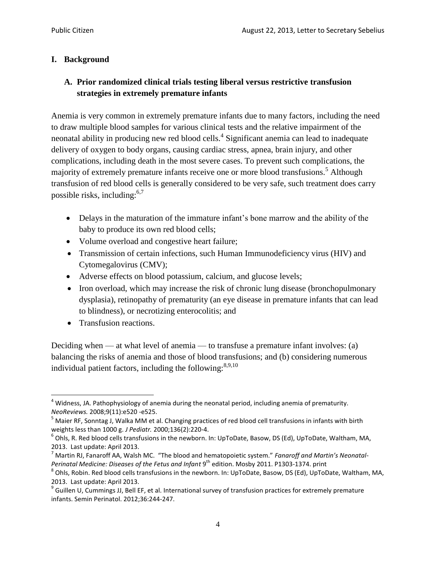### **I. Background**

## **A. Prior randomized clinical trials testing liberal versus restrictive transfusion strategies in extremely premature infants**

Anemia is very common in extremely premature infants due to many factors, including the need to draw multiple blood samples for various clinical tests and the relative impairment of the neonatal ability in producing new red blood cells.<sup>4</sup> Significant anemia can lead to inadequate delivery of oxygen to body organs, causing cardiac stress, apnea, brain injury, and other complications, including death in the most severe cases. To prevent such complications, the majority of extremely premature infants receive one or more blood transfusions.<sup>5</sup> Although transfusion of red blood cells is generally considered to be very safe, such treatment does carry possible risks, including: $6,7$ 

- Delays in the maturation of the immature infant's bone marrow and the ability of the baby to produce its own red blood cells;
- Volume overload and congestive heart failure;
- Transmission of certain infections, such Human Immunodeficiency virus (HIV) and Cytomegalovirus (CMV);
- Adverse effects on blood potassium, calcium, and glucose levels;
- Iron overload, which may increase the risk of chronic lung disease (bronchopulmonary dysplasia), retinopathy of prematurity (an eye disease in premature infants that can lead to blindness), or necrotizing enterocolitis; and
- Transfusion reactions.

Deciding when — at what level of anemia — to transfuse a premature infant involves: (a) balancing the risks of anemia and those of blood transfusions; and (b) considering numerous individual patient factors, including the following:  $8,9,10$ 

 $\overline{\phantom{a}}$  $<sup>4</sup>$  Widness, JA. Pathophysiology of anemia during the neonatal period, including anemia of prematurity.</sup> *NeoReviews.* 2008;9(11):e520 -e525.

 $^5$  Maier RF, Sonntag J, Walka MM et al. Changing practices of red blood cell transfusions in infants with birth weights less than 1000 g. *J Pediatr.* 2000;136(2):220-4.

 $^6$  Ohls, R. Red blood cells transfusions in the newborn. In: UpToDate, Basow, DS (Ed), UpToDate, Waltham, MA, 2013. Last update: April 2013.

<sup>7</sup> Martin RJ, Fanaroff AA, Walsh MC. "The blood and hematopoietic system." *Fanaroff and Martin's Neonatal-Perinatal Medicine: Diseases of the Fetus and Infant* 9 th edition. Mosby 2011. P1303-1374. print

 $^8$  Ohls, Robin. Red blood cells transfusions in the newborn. In: UpToDate, Basow, DS (Ed), UpToDate, Waltham, MA, 2013. Last update: April 2013.

<sup>&</sup>lt;sup>9</sup> Guillen U, Cummings JJ, Bell EF, et al. International survey of transfusion practices for extremely premature infants. Semin Perinatol. 2012;36:244-247.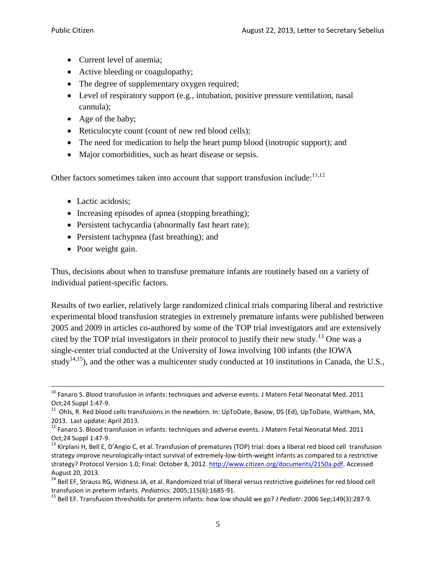- Current level of anemia:
- Active bleeding or coagulopathy;
- The degree of supplementary oxygen required;
- Level of respiratory support (e.g., intubation, positive pressure ventilation, nasal cannula);
- Age of the baby;
- Reticulocyte count (count of new red blood cells);
- The need for medication to help the heart pump blood (inotropic support); and
- Major comorbidities, such as heart disease or sepsis.

Other factors sometimes taken into account that support transfusion include:  $11,12$ 

- Lactic acidosis:
- Increasing episodes of apnea (stopping breathing);
- Persistent tachycardia (abnormally fast heart rate);
- Persistent tachypnea (fast breathing); and
- Poor weight gain.

l

Thus, decisions about when to transfuse premature infants are routinely based on a variety of individual patient-specific factors.

Results of two earlier, relatively large randomized clinical trials comparing liberal and restrictive experimental blood transfusion strategies in extremely premature infants were published between 2005 and 2009 in articles co-authored by some of the TOP trial investigators and are extensively cited by the TOP trial investigators in their protocol to justify their new study.<sup>13</sup> One was a single-center trial conducted at the University of Iowa involving 100 infants (the IOWA study<sup>14,15</sup>), and the other was a multicenter study conducted at 10 institutions in Canada, the U.S.,

 $10$  Fanaro S. Blood transfusion in infants: techniques and adverse events. J Matern Fetal Neonatal Med. 2011 Oct;24 Suppl 1:47-9.

<sup>&</sup>lt;sup>11</sup> Ohls, R. Red blood cells transfusions in the newborn. In: UpToDate, Basow, DS (Ed), UpToDate, Waltham, MA, 2013. Last update: April 2013.

 $12$  Fanaro S. Blood transfusion in infants: techniques and adverse events. J Matern Fetal Neonatal Med. 2011 Oct;24 Suppl 1:47-9.

<sup>&</sup>lt;sup>13</sup> Kirplani H, Bell E, D'Angio C, et al. Transfusion of prematures (TOP) trial: does a liberal red blood cell transfusion strategy improve neurologically-intact survival of extremely-low-birth-weight infants as compared to a restrictive strategy? Protocol Version 1.0; Final: October 8, 2012. [http://www.citizen.org/documents/2150a.pdf.](http://www.citizen.org/documents/2150a.pdf) Accessed August 20, 2013.

<sup>&</sup>lt;sup>14</sup> Bell EF, Strauss RG, Widness JA, et al. Randomized trial of liberal versus restrictive guidelines for red blood cell transfusion in preterm infants. *Pediatrics.* 2005;115(6):1685-91.

<sup>15</sup> Bell EF. Transfusion thresholds for preterm infants: how low should we go? *J Pediatr.* 2006 Sep;149(3):287-9.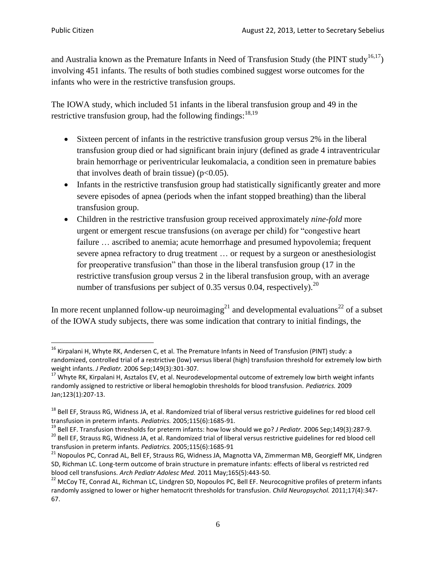$\overline{\phantom{a}}$ 

and Australia known as the Premature Infants in Need of Transfusion Study (the PINT study<sup>16,17</sup>) involving 451 infants. The results of both studies combined suggest worse outcomes for the infants who were in the restrictive transfusion groups.

The IOWA study, which included 51 infants in the liberal transfusion group and 49 in the restrictive transfusion group, had the following findings:<sup>18,19</sup>

- Sixteen percent of infants in the restrictive transfusion group versus 2% in the liberal transfusion group died or had significant brain injury (defined as grade 4 intraventricular brain hemorrhage or periventricular leukomalacia, a condition seen in premature babies that involves death of brain tissue) ( $p<0.05$ ).
- Infants in the restrictive transfusion group had statistically significantly greater and more severe episodes of apnea (periods when the infant stopped breathing) than the liberal transfusion group.
- Children in the restrictive transfusion group received approximately *nine-fold* more urgent or emergent rescue transfusions (on average per child) for "congestive heart failure ... ascribed to anemia; acute hemorrhage and presumed hypovolemia; frequent severe apnea refractory to drug treatment … or request by a surgeon or anesthesiologist for preoperative transfusion" than those in the liberal transfusion group (17 in the restrictive transfusion group versus 2 in the liberal transfusion group, with an average number of transfusions per subject of 0.35 versus 0.04, respectively).<sup>20</sup>

In more recent unplanned follow-up neuroimaging<sup>21</sup> and developmental evaluations<sup>22</sup> of a subset of the IOWA study subjects, there was some indication that contrary to initial findings, the

 $^{16}$  Kirpalani H, Whyte RK, Andersen C, et al. The Premature Infants in Need of Transfusion (PINT) study: a randomized, controlled trial of a restrictive (low) versus liberal (high) transfusion threshold for extremely low birth weight infants. *J Pediatr.* 2006 Sep;149(3):301-307.

<sup>&</sup>lt;sup>17</sup> Whyte RK, Kirpalani H, Asztalos EV, et al. Neurodevelopmental outcome of extremely low birth weight infants randomly assigned to restrictive or liberal hemoglobin thresholds for blood transfusion. *Pediatrics.* 2009 Jan;123(1):207-13.

<sup>&</sup>lt;sup>18</sup> Bell EF, Strauss RG, Widness JA, et al. Randomized trial of liberal versus restrictive guidelines for red blood cell transfusion in preterm infants. *Pediatrics.* 2005;115(6):1685-91.

<sup>19</sup> Bell EF. Transfusion thresholds for preterm infants: how low should we go? *J Pediatr.* 2006 Sep;149(3):287-9. <sup>20</sup> Bell EF, Strauss RG, Widness JA, et al. Randomized trial of liberal versus restrictive guidelines for red blood cell transfusion in preterm infants. *Pediatrics.* 2005;115(6):1685-91

<sup>&</sup>lt;sup>21</sup> Nopoulos PC, Conrad AL, Bell EF, Strauss RG, Widness JA, Magnotta VA, Zimmerman MB, Georgieff MK, Lindgren SD, Richman LC. Long-term outcome of brain structure in premature infants: effects of liberal vs restricted red blood cell transfusions. *Arch Pediatr Adolesc Med.* 2011 May;165(5):443-50.

<sup>&</sup>lt;sup>22</sup> McCoy TE, Conrad AL, Richman LC, Lindgren SD, Nopoulos PC, Bell EF. Neurocognitive profiles of preterm infants randomly assigned to lower or higher hematocrit thresholds for transfusion. *Child Neuropsychol.* 2011;17(4):347- 67.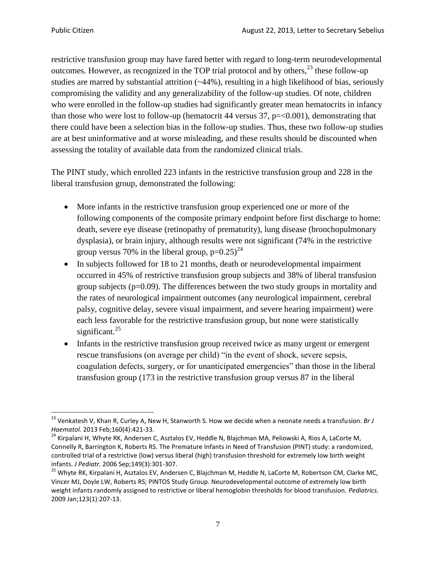$\overline{\phantom{a}}$ 

restrictive transfusion group may have fared better with regard to long-term neurodevelopmental outcomes. However, as recognized in the TOP trial protocol and by others,  $2^3$  these follow-up studies are marred by substantial attrition  $(-44%)$ , resulting in a high likelihood of bias, seriously compromising the validity and any generalizability of the follow-up studies. Of note, children who were enrolled in the follow-up studies had significantly greater mean hematocrits in infancy than those who were lost to follow-up (hematocrit 44 versus  $37$ ,  $p=<0.001$ ), demonstrating that there could have been a selection bias in the follow-up studies. Thus, these two follow-up studies are at best uninformative and at worse misleading, and these results should be discounted when assessing the totality of available data from the randomized clinical trials.

The PINT study, which enrolled 223 infants in the restrictive transfusion group and 228 in the liberal transfusion group, demonstrated the following:

- More infants in the restrictive transfusion group experienced one or more of the following components of the composite primary endpoint before first discharge to home: death, severe eye disease (retinopathy of prematurity), lung disease (bronchopulmonary dysplasia), or brain injury, although results were not significant (74% in the restrictive group versus 70% in the liberal group,  $p=0.25$ )<sup>24</sup>
- In subjects followed for 18 to 21 months, death or neurodevelopmental impairment occurred in 45% of restrictive transfusion group subjects and 38% of liberal transfusion group subjects ( $p=0.09$ ). The differences between the two study groups in mortality and the rates of neurological impairment outcomes (any neurological impairment, cerebral palsy, cognitive delay, severe visual impairment, and severe hearing impairment) were each less favorable for the restrictive transfusion group, but none were statistically significant. $^{25}$
- Infants in the restrictive transfusion group received twice as many urgent or emergent rescue transfusions (on average per child) "in the event of shock, severe sepsis, coagulation defects, surgery, or for unanticipated emergencies" than those in the liberal transfusion group (173 in the restrictive transfusion group versus 87 in the liberal

<sup>23</sup> Venkatesh V, Khan R, Curley A, New H, Stanworth S. How we decide when a neonate needs a transfusion. *Br J Haematol.* 2013 Feb;160(4):421-33.

<sup>&</sup>lt;sup>24</sup> Kirpalani H, Whyte RK, Andersen C, Asztalos EV, Heddle N, Blajchman MA, Peliowski A, Rios A, LaCorte M, Connelly R, Barrington K, Roberts RS. The Premature Infants in Need of Transfusion (PINT) study: a randomized, controlled trial of a restrictive (low) versus liberal (high) transfusion threshold for extremely low birth weight infants. *J Pediatr.* 2006 Sep;149(3):301-307.

<sup>&</sup>lt;sup>25</sup> Whyte RK, Kirpalani H, Asztalos EV, Andersen C, Blajchman M, Heddle N, LaCorte M, Robertson CM, Clarke MC, Vincer MJ, Doyle LW, Roberts RS; PINTOS Study Group. Neurodevelopmental outcome of extremely low birth weight infants randomly assigned to restrictive or liberal hemoglobin thresholds for blood transfusion. *Pediatrics.* 2009 Jan;123(1):207-13.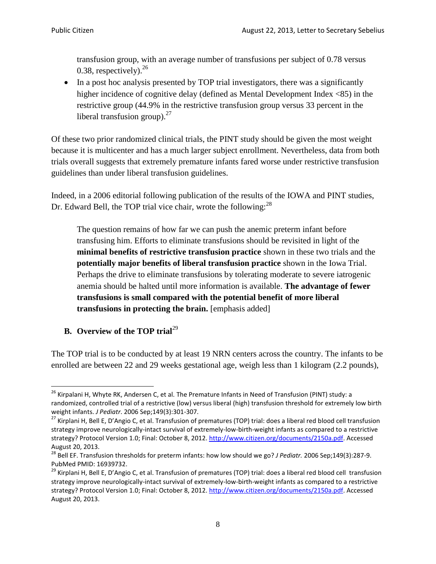transfusion group, with an average number of transfusions per subject of 0.78 versus 0.38, respectively). $^{26}$ 

• In a post hoc analysis presented by TOP trial investigators, there was a significantly higher incidence of cognitive delay (defined as Mental Development Index <85) in the restrictive group (44.9% in the restrictive transfusion group versus 33 percent in the liberal transfusion group). $27$ 

Of these two prior randomized clinical trials, the PINT study should be given the most weight because it is multicenter and has a much larger subject enrollment. Nevertheless, data from both trials overall suggests that extremely premature infants fared worse under restrictive transfusion guidelines than under liberal transfusion guidelines.

Indeed, in a 2006 editorial following publication of the results of the IOWA and PINT studies, Dr. Edward Bell, the TOP trial vice chair, wrote the following:<sup>28</sup>

The question remains of how far we can push the anemic preterm infant before transfusing him. Efforts to eliminate transfusions should be revisited in light of the **minimal benefits of restrictive transfusion practice** shown in these two trials and the **potentially major benefits of liberal transfusion practice** shown in the Iowa Trial. Perhaps the drive to eliminate transfusions by tolerating moderate to severe iatrogenic anemia should be halted until more information is available. **The advantage of fewer transfusions is small compared with the potential benefit of more liberal transfusions in protecting the brain.** [emphasis added]

# **B. Overview of the TOP trial**<sup>29</sup>

The TOP trial is to be conducted by at least 19 NRN centers across the country. The infants to be enrolled are between 22 and 29 weeks gestational age, weigh less than 1 kilogram (2.2 pounds),

l <sup>26</sup> Kirpalani H, Whyte RK, Andersen C, et al. The Premature Infants in Need of Transfusion (PINT) study: a randomized, controlled trial of a restrictive (low) versus liberal (high) transfusion threshold for extremely low birth weight infants. *J Pediatr*. 2006 Sep;149(3):301-307.

<sup>&</sup>lt;sup>27</sup> Kirplani H, Bell E, D'Angio C, et al. Transfusion of prematures (TOP) trial: does a liberal red blood cell transfusion strategy improve neurologically-intact survival of extremely-low-birth-weight infants as compared to a restrictive strategy? Protocol Version 1.0; Final: October 8, 2012. [http://www.citizen.org/documents/2150a.pdf.](http://www.citizen.org/documents/2150a.pdf) Accessed August 20, 2013.

<sup>28</sup> Bell EF. Transfusion thresholds for preterm infants: how low should we go? *J Pediatr.* 2006 Sep;149(3):287-9. PubMed PMID: 16939732.

<sup>&</sup>lt;sup>29</sup> Kirplani H, Bell E, D'Angio C, et al. Transfusion of prematures (TOP) trial: does a liberal red blood cell transfusion strategy improve neurologically-intact survival of extremely-low-birth-weight infants as compared to a restrictive strategy? Protocol Version 1.0; Final: October 8, 2012. [http://www.citizen.org/documents/2150a.pdf.](http://www.citizen.org/documents/2150a.pdf) Accessed August 20, 2013.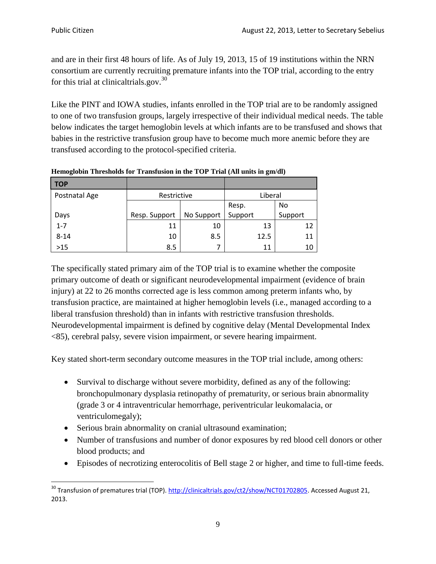and are in their first 48 hours of life. As of July 19, 2013, 15 of 19 institutions within the NRN consortium are currently recruiting premature infants into the TOP trial, according to the entry for this trial at clinical trials.gov. $30$ 

Like the PINT and IOWA studies, infants enrolled in the TOP trial are to be randomly assigned to one of two transfusion groups, largely irrespective of their individual medical needs. The table below indicates the target hemoglobin levels at which infants are to be transfused and shows that babies in the restrictive transfusion group have to become much more anemic before they are transfused according to the protocol-specified criteria.

| <b>TOP</b>    |               |            |         |         |
|---------------|---------------|------------|---------|---------|
| Postnatal Age | Restrictive   |            | Liberal |         |
|               |               |            | Resp.   | No      |
| Days          | Resp. Support | No Support | Support | Support |
| $1 - 7$       | 11            | 10         | 13      | 12      |
| $8 - 14$      | 10            | 8.5        | 12.5    | 11      |
| $>15$         | 8.5           |            | 11      | 10      |

**Hemoglobin Thresholds for Transfusion in the TOP Trial (All units in gm/dl)**

The specifically stated primary aim of the TOP trial is to examine whether the composite primary outcome of death or significant neurodevelopmental impairment (evidence of brain injury) at 22 to 26 months corrected age is less common among preterm infants who, by transfusion practice, are maintained at higher hemoglobin levels (i.e., managed according to a liberal transfusion threshold) than in infants with restrictive transfusion thresholds. Neurodevelopmental impairment is defined by cognitive delay (Mental Developmental Index <85), cerebral palsy, severe vision impairment, or severe hearing impairment.

Key stated short-term secondary outcome measures in the TOP trial include, among others:

- Survival to discharge without severe morbidity, defined as any of the following: bronchopulmonary dysplasia retinopathy of prematurity, or serious brain abnormality (grade 3 or 4 intraventricular hemorrhage, periventricular leukomalacia, or ventriculomegaly);
- Serious brain abnormality on cranial ultrasound examination;
- Number of transfusions and number of donor exposures by red blood cell donors or other blood products; and
- Episodes of necrotizing enterocolitis of Bell stage 2 or higher, and time to full-time feeds.

 $\overline{\phantom{a}}$ <sup>30</sup> Transfusion of prematures trial (TOP). [http://clinicaltrials.gov/ct2/show/NCT01702805.](http://clinicaltrials.gov/ct2/show/NCT01702805) Accessed August 21, 2013.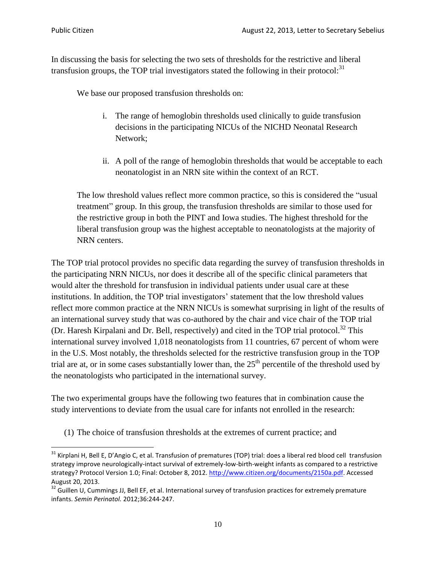l

In discussing the basis for selecting the two sets of thresholds for the restrictive and liberal transfusion groups, the TOP trial investigators stated the following in their protocol: $31$ 

We base our proposed transfusion thresholds on:

- i. The range of hemoglobin thresholds used clinically to guide transfusion decisions in the participating NICUs of the NICHD Neonatal Research Network;
- ii. A poll of the range of hemoglobin thresholds that would be acceptable to each neonatologist in an NRN site within the context of an RCT.

The low threshold values reflect more common practice, so this is considered the "usual treatment" group. In this group, the transfusion thresholds are similar to those used for the restrictive group in both the PINT and Iowa studies. The highest threshold for the liberal transfusion group was the highest acceptable to neonatologists at the majority of NRN centers.

The TOP trial protocol provides no specific data regarding the survey of transfusion thresholds in the participating NRN NICUs, nor does it describe all of the specific clinical parameters that would alter the threshold for transfusion in individual patients under usual care at these institutions. In addition, the TOP trial investigators' statement that the low threshold values reflect more common practice at the NRN NICUs is somewhat surprising in light of the results of an international survey study that was co-authored by the chair and vice chair of the TOP trial (Dr. Haresh Kirpalani and Dr. Bell, respectively) and cited in the TOP trial protocol.<sup>32</sup> This international survey involved 1,018 neonatologists from 11 countries, 67 percent of whom were in the U.S. Most notably, the thresholds selected for the restrictive transfusion group in the TOP trial are at, or in some cases substantially lower than, the  $25<sup>th</sup>$  percentile of the threshold used by the neonatologists who participated in the international survey.

The two experimental groups have the following two features that in combination cause the study interventions to deviate from the usual care for infants not enrolled in the research:

(1) The choice of transfusion thresholds at the extremes of current practice; and

<sup>&</sup>lt;sup>31</sup> Kirplani H. Bell E, D'Angio C, et al. Transfusion of prematures (TOP) trial: does a liberal red blood cell transfusion strategy improve neurologically-intact survival of extremely-low-birth-weight infants as compared to a restrictive strategy? Protocol Version 1.0; Final: October 8, 2012. [http://www.citizen.org/documents/2150a.pdf.](http://www.citizen.org/documents/2150a.pdf) Accessed August 20, 2013.

 $32$  Guillen U, Cummings JJ, Bell EF, et al. International survey of transfusion practices for extremely premature infants. *Semin Perinatol.* 2012;36:244-247.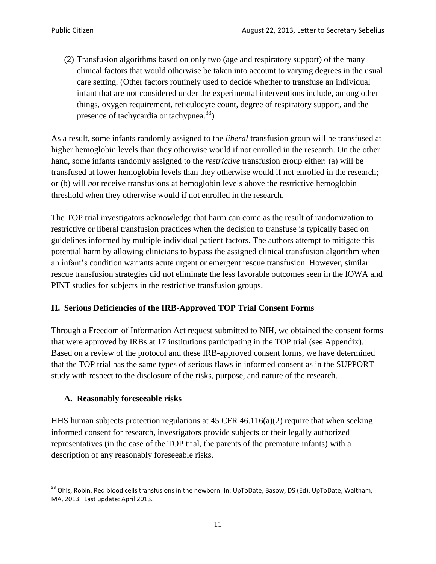(2) Transfusion algorithms based on only two (age and respiratory support) of the many clinical factors that would otherwise be taken into account to varying degrees in the usual care setting. (Other factors routinely used to decide whether to transfuse an individual infant that are not considered under the experimental interventions include, among other things, oxygen requirement, reticulocyte count, degree of respiratory support, and the presence of tachycardia or tachypnea.<sup>33</sup>)

As a result, some infants randomly assigned to the *liberal* transfusion group will be transfused at higher hemoglobin levels than they otherwise would if not enrolled in the research. On the other hand, some infants randomly assigned to the *restrictive* transfusion group either: (a) will be transfused at lower hemoglobin levels than they otherwise would if not enrolled in the research; or (b) will *not* receive transfusions at hemoglobin levels above the restrictive hemoglobin threshold when they otherwise would if not enrolled in the research.

The TOP trial investigators acknowledge that harm can come as the result of randomization to restrictive or liberal transfusion practices when the decision to transfuse is typically based on guidelines informed by multiple individual patient factors. The authors attempt to mitigate this potential harm by allowing clinicians to bypass the assigned clinical transfusion algorithm when an infant's condition warrants acute urgent or emergent rescue transfusion. However, similar rescue transfusion strategies did not eliminate the less favorable outcomes seen in the IOWA and PINT studies for subjects in the restrictive transfusion groups.

# **II. Serious Deficiencies of the IRB-Approved TOP Trial Consent Forms**

Through a Freedom of Information Act request submitted to NIH, we obtained the consent forms that were approved by IRBs at 17 institutions participating in the TOP trial (see Appendix). Based on a review of the protocol and these IRB-approved consent forms, we have determined that the TOP trial has the same types of serious flaws in informed consent as in the SUPPORT study with respect to the disclosure of the risks, purpose, and nature of the research.

### **A. Reasonably foreseeable risks**

HHS human subjects protection regulations at 45 CFR 46.116(a)(2) require that when seeking informed consent for research, investigators provide subjects or their legally authorized representatives (in the case of the TOP trial, the parents of the premature infants) with a description of any reasonably foreseeable risks.

 $\overline{\phantom{a}}$ <sup>33</sup> Ohls, Robin. Red blood cells transfusions in the newborn. In: UpToDate, Basow, DS (Ed), UpToDate, Waltham, MA, 2013. Last update: April 2013.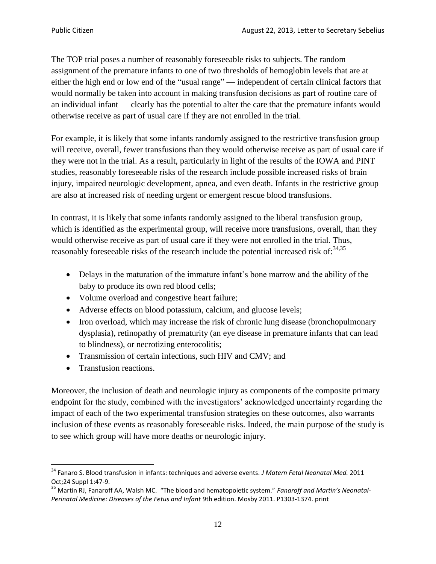The TOP trial poses a number of reasonably foreseeable risks to subjects. The random assignment of the premature infants to one of two thresholds of hemoglobin levels that are at either the high end or low end of the "usual range" — independent of certain clinical factors that would normally be taken into account in making transfusion decisions as part of routine care of an individual infant — clearly has the potential to alter the care that the premature infants would otherwise receive as part of usual care if they are not enrolled in the trial.

For example, it is likely that some infants randomly assigned to the restrictive transfusion group will receive, overall, fewer transfusions than they would otherwise receive as part of usual care if they were not in the trial. As a result, particularly in light of the results of the IOWA and PINT studies, reasonably foreseeable risks of the research include possible increased risks of brain injury, impaired neurologic development, apnea, and even death. Infants in the restrictive group are also at increased risk of needing urgent or emergent rescue blood transfusions.

In contrast, it is likely that some infants randomly assigned to the liberal transfusion group, which is identified as the experimental group, will receive more transfusions, overall, than they would otherwise receive as part of usual care if they were not enrolled in the trial. Thus, reasonably foreseeable risks of the research include the potential increased risk of: $34,35$ 

- Delays in the maturation of the immature infant's bone marrow and the ability of the baby to produce its own red blood cells;
- Volume overload and congestive heart failure;
- Adverse effects on blood potassium, calcium, and glucose levels;
- Iron overload, which may increase the risk of chronic lung disease (bronchopulmonary dysplasia), retinopathy of prematurity (an eye disease in premature infants that can lead to blindness), or necrotizing enterocolitis;
- Transmission of certain infections, such HIV and CMV; and
- Transfusion reactions.

Moreover, the inclusion of death and neurologic injury as components of the composite primary endpoint for the study, combined with the investigators' acknowledged uncertainty regarding the impact of each of the two experimental transfusion strategies on these outcomes, also warrants inclusion of these events as reasonably foreseeable risks. Indeed, the main purpose of the study is to see which group will have more deaths or neurologic injury.

 $\overline{a}$ <sup>34</sup> Fanaro S. Blood transfusion in infants: techniques and adverse events. *J Matern Fetal Neonatal Med.* 2011 Oct;24 Suppl 1:47-9.

<sup>35</sup> Martin RJ, Fanaroff AA, Walsh MC. "The blood and hematopoietic system." *Fanaroff and Martin's Neonatal-Perinatal Medicine: Diseases of the Fetus and Infant* 9th edition. Mosby 2011. P1303-1374. print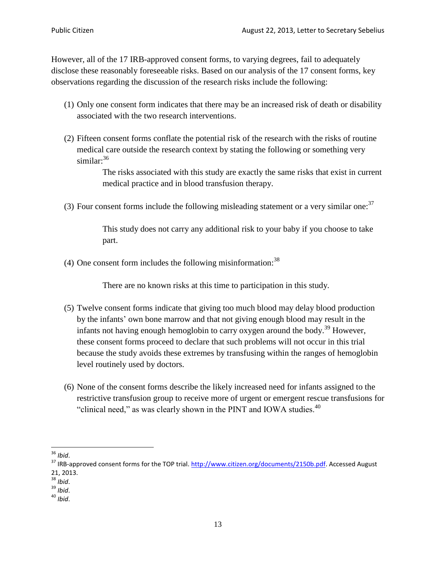However, all of the 17 IRB-approved consent forms, to varying degrees, fail to adequately disclose these reasonably foreseeable risks. Based on our analysis of the 17 consent forms, key observations regarding the discussion of the research risks include the following:

- (1) Only one consent form indicates that there may be an increased risk of death or disability associated with the two research interventions.
- (2) Fifteen consent forms conflate the potential risk of the research with the risks of routine medical care outside the research context by stating the following or something very similar:<sup>36</sup>

The risks associated with this study are exactly the same risks that exist in current medical practice and in blood transfusion therapy.

(3) Four consent forms include the following misleading statement or a very similar one: $37$ 

This study does not carry any additional risk to your baby if you choose to take part.

(4) One consent form includes the following misinformation: $38$ 

There are no known risks at this time to participation in this study.

- (5) Twelve consent forms indicate that giving too much blood may delay blood production by the infants' own bone marrow and that not giving enough blood may result in the infants not having enough hemoglobin to carry oxygen around the body.<sup>39</sup> However, these consent forms proceed to declare that such problems will not occur in this trial because the study avoids these extremes by transfusing within the ranges of hemoglobin level routinely used by doctors.
- (6) None of the consent forms describe the likely increased need for infants assigned to the restrictive transfusion group to receive more of urgent or emergent rescue transfusions for "clinical need," as was clearly shown in the PINT and IOWA studies. $40$

l <sup>36</sup> *Ibid*.

<sup>&</sup>lt;sup>37</sup> IRB-approved consent forms for the TOP trial[. http://www.citizen.org/documents/2150b.pdf.](http://www.citizen.org/documents/2150b.pdf) Accessed August 21, 2013.

<sup>38</sup> *Ibid*.

<sup>39</sup> *Ibid*.

<sup>40</sup> *Ibid*.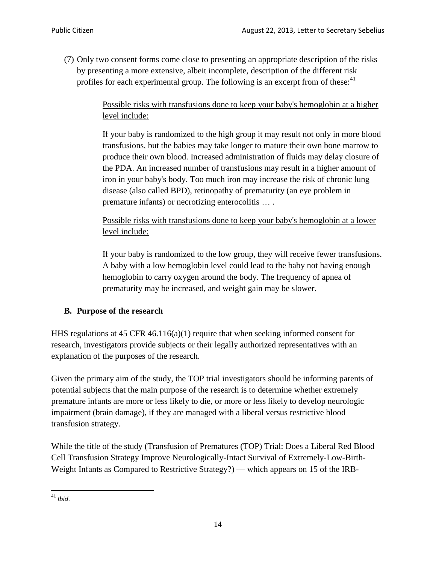(7) Only two consent forms come close to presenting an appropriate description of the risks by presenting a more extensive, albeit incomplete, description of the different risk profiles for each experimental group. The following is an excerpt from of these:<sup>41</sup>

> Possible risks with transfusions done to keep your baby's hemoglobin at a higher level include:

> If your baby is randomized to the high group it may result not only in more blood transfusions, but the babies may take longer to mature their own bone marrow to produce their own blood. Increased administration of fluids may delay closure of the PDA. An increased number of transfusions may result in a higher amount of iron in your baby's body. Too much iron may increase the risk of chronic lung disease (also called BPD), retinopathy of prematurity (an eye problem in premature infants) or necrotizing enterocolitis … .

Possible risks with transfusions done to keep your baby's hemoglobin at a lower level include:

If your baby is randomized to the low group, they will receive fewer transfusions. A baby with a low hemoglobin level could lead to the baby not having enough hemoglobin to carry oxygen around the body. The frequency of apnea of prematurity may be increased, and weight gain may be slower.

# **B. Purpose of the research**

HHS regulations at 45 CFR  $46.116(a)(1)$  require that when seeking informed consent for research, investigators provide subjects or their legally authorized representatives with an explanation of the purposes of the research.

Given the primary aim of the study, the TOP trial investigators should be informing parents of potential subjects that the main purpose of the research is to determine whether extremely premature infants are more or less likely to die, or more or less likely to develop neurologic impairment (brain damage), if they are managed with a liberal versus restrictive blood transfusion strategy.

While the title of the study (Transfusion of Prematures (TOP) Trial: Does a Liberal Red Blood Cell Transfusion Strategy Improve Neurologically-Intact Survival of Extremely-Low-Birth-Weight Infants as Compared to Restrictive Strategy?) — which appears on 15 of the IRB-

 $\overline{\phantom{a}}$ <sup>41</sup> *Ibid*.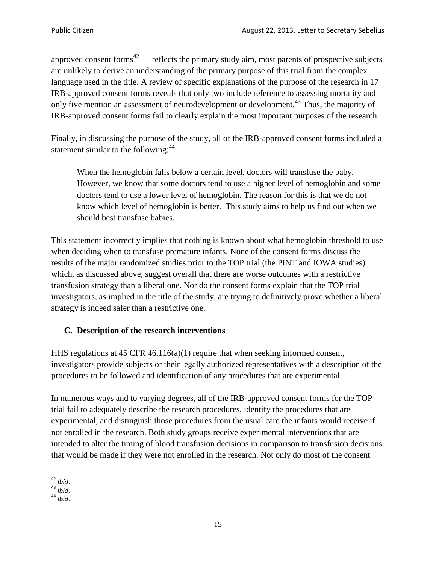approved consent forms<sup> $42$ </sup> — reflects the primary study aim, most parents of prospective subjects are unlikely to derive an understanding of the primary purpose of this trial from the complex language used in the title. A review of specific explanations of the purpose of the research in 17 IRB-approved consent forms reveals that only two include reference to assessing mortality and only five mention an assessment of neurodevelopment or development.<sup>43</sup> Thus, the majority of IRB-approved consent forms fail to clearly explain the most important purposes of the research.

Finally, in discussing the purpose of the study, all of the IRB-approved consent forms included a statement similar to the following: $44$ 

When the hemoglobin falls below a certain level, doctors will transfuse the baby. However, we know that some doctors tend to use a higher level of hemoglobin and some doctors tend to use a lower level of hemoglobin. The reason for this is that we do not know which level of hemoglobin is better. This study aims to help us find out when we should best transfuse babies.

This statement incorrectly implies that nothing is known about what hemoglobin threshold to use when deciding when to transfuse premature infants. None of the consent forms discuss the results of the major randomized studies prior to the TOP trial (the PINT and IOWA studies) which, as discussed above, suggest overall that there are worse outcomes with a restrictive transfusion strategy than a liberal one. Nor do the consent forms explain that the TOP trial investigators, as implied in the title of the study, are trying to definitively prove whether a liberal strategy is indeed safer than a restrictive one.

# **C. Description of the research interventions**

HHS regulations at 45 CFR 46.116(a)(1) require that when seeking informed consent, investigators provide subjects or their legally authorized representatives with a description of the procedures to be followed and identification of any procedures that are experimental.

In numerous ways and to varying degrees, all of the IRB-approved consent forms for the TOP trial fail to adequately describe the research procedures, identify the procedures that are experimental, and distinguish those procedures from the usual care the infants would receive if not enrolled in the research. Both study groups receive experimental interventions that are intended to alter the timing of blood transfusion decisions in comparison to transfusion decisions that would be made if they were not enrolled in the research. Not only do most of the consent

 $\overline{\phantom{a}}$ <sup>42</sup> *Ibid*.

<sup>43</sup> *Ibid*.

<sup>44</sup> *Ibid*.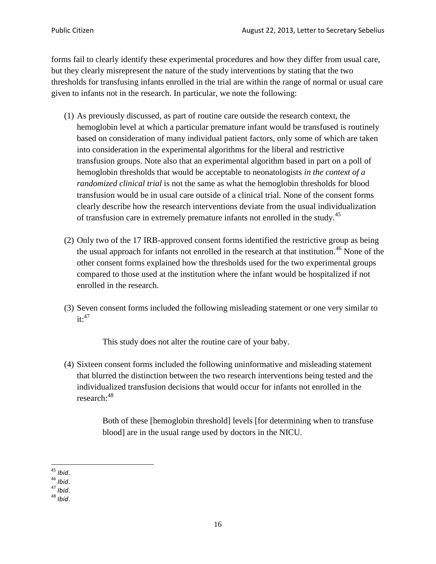forms fail to clearly identify these experimental procedures and how they differ from usual care, but they clearly misrepresent the nature of the study interventions by stating that the two thresholds for transfusing infants enrolled in the trial are within the range of normal or usual care given to infants not in the research. In particular, we note the following:

- (1) As previously discussed, as part of routine care outside the research context, the hemoglobin level at which a particular premature infant would be transfused is routinely based on consideration of many individual patient factors, only some of which are taken into consideration in the experimental algorithms for the liberal and restrictive transfusion groups. Note also that an experimental algorithm based in part on a poll of hemoglobin thresholds that would be acceptable to neonatologists *in the context of a randomized clinical trial* is not the same as what the hemoglobin thresholds for blood transfusion would be in usual care outside of a clinical trial. None of the consent forms clearly describe how the research interventions deviate from the usual individualization of transfusion care in extremely premature infants not enrolled in the study.<sup>45</sup>
- (2) Only two of the 17 IRB-approved consent forms identified the restrictive group as being the usual approach for infants not enrolled in the research at that institution.<sup>46</sup> None of the other consent forms explained how the thresholds used for the two experimental groups compared to those used at the institution where the infant would be hospitalized if not enrolled in the research.
- (3) Seven consent forms included the following misleading statement or one very similar to  $it:$ <sup>47</sup>

This study does not alter the routine care of your baby.

(4) Sixteen consent forms included the following uninformative and misleading statement that blurred the distinction between the two research interventions being tested and the individualized transfusion decisions that would occur for infants not enrolled in the research:<sup>48</sup>

> Both of these [hemoglobin threshold] levels [for determining when to transfuse blood] are in the usual range used by doctors in the NICU.

 $\overline{a}$ <sup>45</sup> *Ibid*.

<sup>46</sup> *Ibid*.

<sup>47</sup> *Ibid*.

<sup>48</sup> *Ibid*.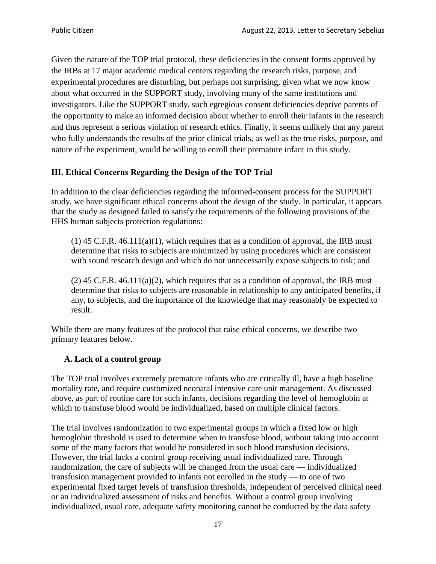Given the nature of the TOP trial protocol, these deficiencies in the consent forms approved by the IRBs at 17 major academic medical centers regarding the research risks, purpose, and experimental procedures are disturbing, but perhaps not surprising, given what we now know about what occurred in the SUPPORT study, involving many of the same institutions and investigators. Like the SUPPORT study, such egregious consent deficiencies deprive parents of the opportunity to make an informed decision about whether to enroll their infants in the research and thus represent a serious violation of research ethics. Finally, it seems unlikely that any parent who fully understands the results of the prior clinical trials, as well as the true risks, purpose, and nature of the experiment, would be willing to enroll their premature infant in this study.

### **III. Ethical Concerns Regarding the Design of the TOP Trial**

In addition to the clear deficiencies regarding the informed-consent process for the SUPPORT study, we have significant ethical concerns about the design of the study. In particular, it appears that the study as designed failed to satisfy the requirements of the following provisions of the HHS human subjects protection regulations:

 $(1)$  45 C.F.R. 46.111 $(a)(1)$ , which requires that as a condition of approval, the IRB must determine that risks to subjects are minimized by using procedures which are consistent with sound research design and which do not unnecessarily expose subjects to risk; and

 $(2)$  45 C.F.R. 46.111(a)(2), which requires that as a condition of approval, the IRB must determine that risks to subjects are reasonable in relationship to any anticipated benefits, if any, to subjects, and the importance of the knowledge that may reasonably be expected to result.

While there are many features of the protocol that raise ethical concerns, we describe two primary features below.

### **A. Lack of a control group**

The TOP trial involves extremely premature infants who are critically ill, have a high baseline mortality rate, and require customized neonatal intensive care unit management. As discussed above, as part of routine care for such infants, decisions regarding the level of hemoglobin at which to transfuse blood would be individualized, based on multiple clinical factors.

The trial involves randomization to two experimental groups in which a fixed low or high hemoglobin threshold is used to determine when to transfuse blood, without taking into account some of the many factors that would be considered in such blood transfusion decisions. However, the trial lacks a control group receiving usual individualized care. Through randomization, the care of subjects will be changed from the usual care — individualized transfusion management provided to infants not enrolled in the study — to one of two experimental fixed target levels of transfusion thresholds, independent of perceived clinical need or an individualized assessment of risks and benefits. Without a control group involving individualized, usual care, adequate safety monitoring cannot be conducted by the data safety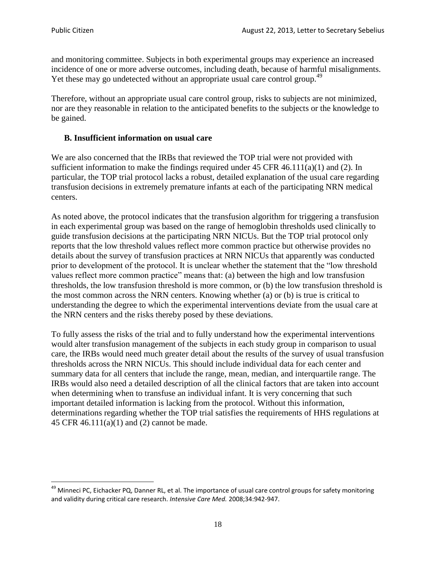$\overline{\phantom{a}}$ 

and monitoring committee. Subjects in both experimental groups may experience an increased incidence of one or more adverse outcomes, including death, because of harmful misalignments. Yet these may go undetected without an appropriate usual care control group.<sup>49</sup>

Therefore, without an appropriate usual care control group, risks to subjects are not minimized, nor are they reasonable in relation to the anticipated benefits to the subjects or the knowledge to be gained.

#### **B. Insufficient information on usual care**

We are also concerned that the IRBs that reviewed the TOP trial were not provided with sufficient information to make the findings required under  $45$  CFR  $46.111(a)(1)$  and (2). In particular, the TOP trial protocol lacks a robust, detailed explanation of the usual care regarding transfusion decisions in extremely premature infants at each of the participating NRN medical centers.

As noted above, the protocol indicates that the transfusion algorithm for triggering a transfusion in each experimental group was based on the range of hemoglobin thresholds used clinically to guide transfusion decisions at the participating NRN NICUs. But the TOP trial protocol only reports that the low threshold values reflect more common practice but otherwise provides no details about the survey of transfusion practices at NRN NICUs that apparently was conducted prior to development of the protocol. It is unclear whether the statement that the "low threshold values reflect more common practice" means that: (a) between the high and low transfusion thresholds, the low transfusion threshold is more common, or (b) the low transfusion threshold is the most common across the NRN centers. Knowing whether (a) or (b) is true is critical to understanding the degree to which the experimental interventions deviate from the usual care at the NRN centers and the risks thereby posed by these deviations.

To fully assess the risks of the trial and to fully understand how the experimental interventions would alter transfusion management of the subjects in each study group in comparison to usual care, the IRBs would need much greater detail about the results of the survey of usual transfusion thresholds across the NRN NICUs. This should include individual data for each center and summary data for all centers that include the range, mean, median, and interquartile range. The IRBs would also need a detailed description of all the clinical factors that are taken into account when determining when to transfuse an individual infant. It is very concerning that such important detailed information is lacking from the protocol. Without this information, determinations regarding whether the TOP trial satisfies the requirements of HHS regulations at 45 CFR 46.111(a)(1) and (2) cannot be made.

<sup>&</sup>lt;sup>49</sup> Minneci PC, Eichacker PQ, Danner RL, et al. The importance of usual care control groups for safety monitoring and validity during critical care research. *Intensive Care Med.* 2008;34:942-947.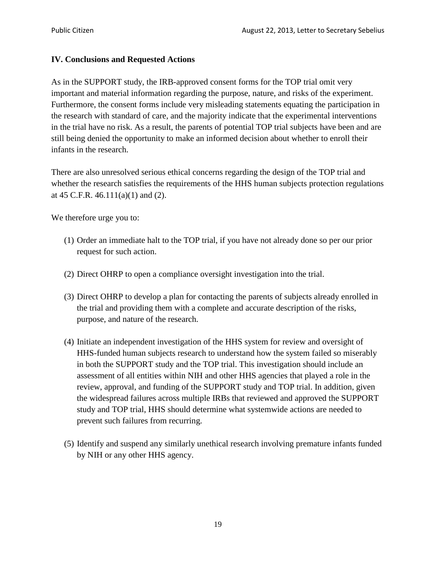#### **IV. Conclusions and Requested Actions**

As in the SUPPORT study, the IRB-approved consent forms for the TOP trial omit very important and material information regarding the purpose, nature, and risks of the experiment. Furthermore, the consent forms include very misleading statements equating the participation in the research with standard of care, and the majority indicate that the experimental interventions in the trial have no risk. As a result, the parents of potential TOP trial subjects have been and are still being denied the opportunity to make an informed decision about whether to enroll their infants in the research.

There are also unresolved serious ethical concerns regarding the design of the TOP trial and whether the research satisfies the requirements of the HHS human subjects protection regulations at 45 C.F.R.  $46.111(a)(1)$  and (2).

We therefore urge you to:

- (1) Order an immediate halt to the TOP trial, if you have not already done so per our prior request for such action.
- (2) Direct OHRP to open a compliance oversight investigation into the trial.
- (3) Direct OHRP to develop a plan for contacting the parents of subjects already enrolled in the trial and providing them with a complete and accurate description of the risks, purpose, and nature of the research.
- (4) Initiate an independent investigation of the HHS system for review and oversight of HHS-funded human subjects research to understand how the system failed so miserably in both the SUPPORT study and the TOP trial. This investigation should include an assessment of all entities within NIH and other HHS agencies that played a role in the review, approval, and funding of the SUPPORT study and TOP trial. In addition, given the widespread failures across multiple IRBs that reviewed and approved the SUPPORT study and TOP trial, HHS should determine what systemwide actions are needed to prevent such failures from recurring.
- (5) Identify and suspend any similarly unethical research involving premature infants funded by NIH or any other HHS agency.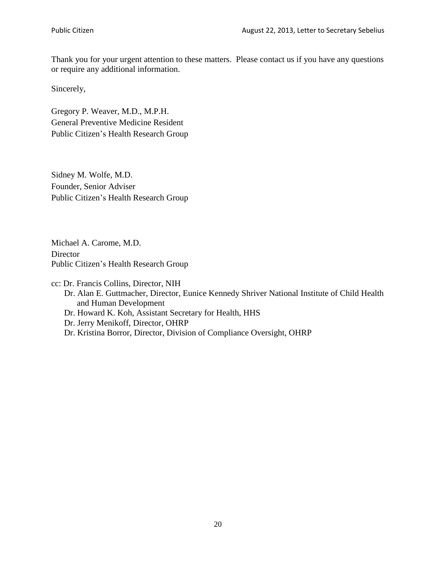Thank you for your urgent attention to these matters. Please contact us if you have any questions or require any additional information.

Sincerely,

Gregory P. Weaver, M.D., M.P.H. General Preventive Medicine Resident Public Citizen's Health Research Group

Sidney M. Wolfe, M.D. Founder, Senior Adviser Public Citizen's Health Research Group

Michael A. Carome, M.D. **Director** Public Citizen's Health Research Group

cc: Dr. Francis Collins, Director, NIH Dr. Alan E. Guttmacher, Director, Eunice Kennedy Shriver National Institute of Child Health and Human Development Dr. Howard K. Koh, Assistant Secretary for Health, HHS Dr. Jerry Menikoff, Director, OHRP Dr. Kristina Borror, Director, Division of Compliance Oversight, OHRP